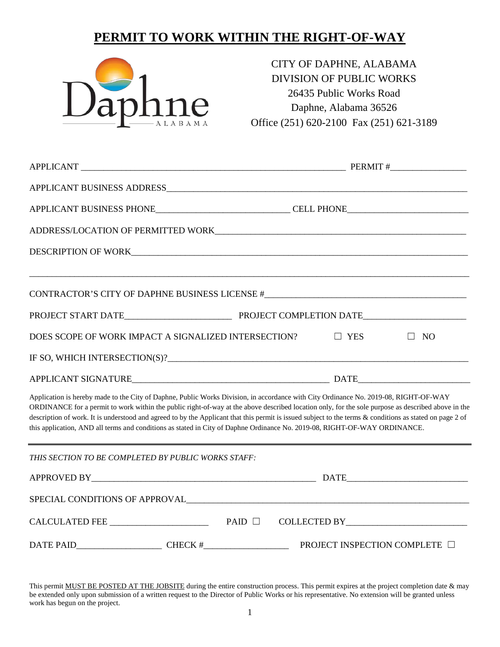## **PERMIT TO WORK WITHIN THE RIGHT-OF-WAY**



CITY OF DAPHNE, ALABAMA DIVISION OF PUBLIC WORKS 26435 Public Works Road Daphne, Alabama 36526 Office (251) 620-2100 Fax (251) 621-3189

| APPLICANT BUSINESS PHONE_________________________________CELL PHONE_________________________________                                                                                                                                                                                                                                                                                                                                                                                                                                                                                |                               |
|-------------------------------------------------------------------------------------------------------------------------------------------------------------------------------------------------------------------------------------------------------------------------------------------------------------------------------------------------------------------------------------------------------------------------------------------------------------------------------------------------------------------------------------------------------------------------------------|-------------------------------|
|                                                                                                                                                                                                                                                                                                                                                                                                                                                                                                                                                                                     |                               |
| DESCRIPTION OF WORK                                                                                                                                                                                                                                                                                                                                                                                                                                                                                                                                                                 |                               |
| CONTRACTOR'S CITY OF DAPHNE BUSINESS LICENSE #___________________________________                                                                                                                                                                                                                                                                                                                                                                                                                                                                                                   |                               |
|                                                                                                                                                                                                                                                                                                                                                                                                                                                                                                                                                                                     |                               |
| DOES SCOPE OF WORK IMPACT A SIGNALIZED INTERSECTION?                                                                                                                                                                                                                                                                                                                                                                                                                                                                                                                                | $\Box$ YES<br>$\Box$ NO       |
|                                                                                                                                                                                                                                                                                                                                                                                                                                                                                                                                                                                     |                               |
|                                                                                                                                                                                                                                                                                                                                                                                                                                                                                                                                                                                     |                               |
| Application is hereby made to the City of Daphne, Public Works Division, in accordance with City Ordinance No. 2019-08, RIGHT-OF-WAY<br>ORDINANCE for a permit to work within the public right-of-way at the above described location only, for the sole purpose as described above in the<br>description of work. It is understood and agreed to by the Applicant that this permit is issued subject to the terms & conditions as stated on page 2 of<br>this application, AND all terms and conditions as stated in City of Daphne Ordinance No. 2019-08, RIGHT-OF-WAY ORDINANCE. |                               |
| THIS SECTION TO BE COMPLETED BY PUBLIC WORKS STAFF:                                                                                                                                                                                                                                                                                                                                                                                                                                                                                                                                 |                               |
|                                                                                                                                                                                                                                                                                                                                                                                                                                                                                                                                                                                     |                               |
|                                                                                                                                                                                                                                                                                                                                                                                                                                                                                                                                                                                     |                               |
| $CALCULATED FEE$ PAID $\Box$                                                                                                                                                                                                                                                                                                                                                                                                                                                                                                                                                        |                               |
| $\text{DATE} \text{ PAID}$ CHECK #                                                                                                                                                                                                                                                                                                                                                                                                                                                                                                                                                  | PROJECT INSPECTION COMPLETE □ |

This permit MUST BE POSTED AT THE JOBSITE during the entire construction process. This permit expires at the project completion date & may be extended only upon submission of a written request to the Director of Public Works or his representative. No extension will be granted unless work has begun on the project.